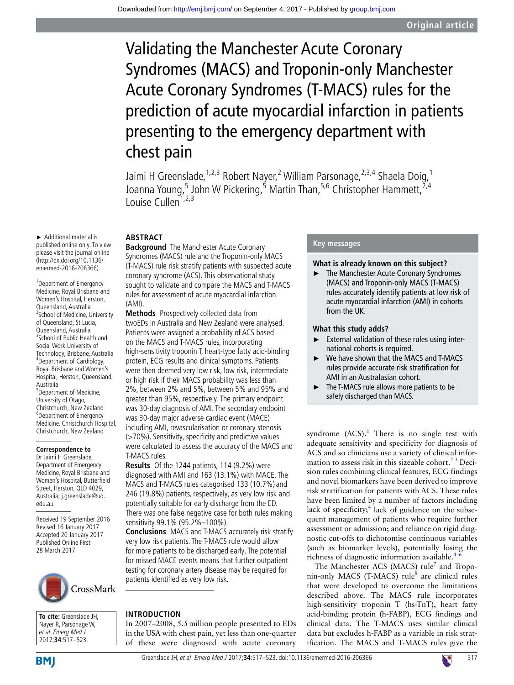# Validating the Manchester Acute Coronary Syndromes (MACS) and Troponin-only Manchester Acute Coronary Syndromes (T-MACS) rules for the prediction of acute myocardial infarction in patients presenting to the emergency department with chest pain

Jaimi H Greenslade, <sup>1,2,3</sup> Robert Nayer, <sup>2</sup> William Parsonage, <sup>2,3,4</sup> Shaela Doig, <sup>1</sup> Joanna Young,<sup>5</sup> John W Pickering,<sup>5</sup> Martin Than,<sup>5,6</sup> Christopher Hammett,<sup>2,4</sup> Louise Cullen<sup>1,2,3</sup>

#### ► Additional material is published online only. To view please visit the journal online (http://dx.doi.org/10.1136/ emermed-2016-206366).

<sup>1</sup> Department of Emergency Medicine, Royal Brisbane and Women's Hospital, Herston, Queensland, Australia 2 School of Medicine, University of Queensland, St Lucia, Queensland, Australia <sup>3</sup>School of Public Health and Social Work,University of Technology, Brisbane, Australia 4 Department of Cardiology, Royal Brisbane and Women's Hospital, Herston, Queensland, Australia <sup>5</sup>Department of Medicine, University of Otago,

Christchurch, New Zealand 6 Department of Emergency Medicine, Christchurch Hospital, Christchurch, New Zealand

# **Correspondence to**

Dr Jaimi H Greenslade, Department of Emergency Medicine, Royal Brisbane and Women's Hospital, Butterfield Street, Herston, QLD 4029, Australia; j.greenslade@uq. edu.au

Received 19 September 2016 Revised 16 January 2017 Accepted 20 January 2017 Published Online First 28 March 2017



**To cite:** Greenslade JH, Nayer R, Parsonage W, et al. Emerg Med J 2017;**34**:517–523.

# **Abstract**

**Background** The Manchester Acute Coronary Syndromes (MACS) rule and the Troponin-only MACS (T-MACS) rule risk stratify patients with suspected acute coronary syndrome (ACS). This observational study sought to validate and compare the MACS and T-MACS rules for assessment of acute myocardial infarction (AMI).

**Methods** Prospectively collected data from twoEDs in Australia and New Zealand were analysed. Patients were assigned a probability of ACS based on the MACS and T-MACS rules, incorporating high-sensitivity troponin T, heart-type fatty acid-binding protein, ECG results and clinical symptoms. Patients were then deemed very low risk, low risk, intermediate or high risk if their MACS probability was less than 2%, between 2% and 5%, between 5% and 95% and greater than 95%, respectively. The primary endpoint was 30-day diagnosis of AMI. The secondary endpoint was 30-day major adverse cardiac event (MACE) including AMI, revascularisation or coronary stenosis (>70%). Sensitivity, specificity and predictive values were calculated to assess the accuracy of the MACS and T-MACS rules.

**Results** Of the 1244 patients, 114 (9.2%) were diagnosed with AMI and 163 (13.1%) with MACE. The MACS and T-MACS rules categorised 133 (10.7%) and 246 (19.8%) patients, respectively, as very low risk and potentially suitable for early discharge from the ED. There was one false negative case for both rules making sensitivity 99.1% (95.2%–100%).

**Conclusions** MACS and T-MACS accurately risk stratify very low risk patients. The T-MACS rule would allow for more patients to be discharged early. The potential for missed MACE events means that further outpatient testing for coronary artery disease may be required for patients identified as very low risk.

# **Introduction**

In 2007–2008, 5.5million people presented to EDs in the USA with chest pain, yet less than one-quarter of these were diagnosed with acute coronary

# **Key messages**

# **What is already known on this subject?**

The Manchester Acute Coronary Syndromes (MACS) and Troponin-only MACS (T-MACS) rules accurately identify patients at low risk of acute myocardial infarction (AMI) in cohorts from the UK.

# **What this study adds?**

- ► External validation of these rules using international cohorts is required.
- We have shown that the MACS and T-MACS rules provide accurate risk stratification for AMI in an Australasian cohort.
- ► The T-MACS rule allows more patients to be safely discharged than MACS.

syndrome  $(ACS)^1$  $(ACS)^1$ . There is no single test with adequate sensitivity and specificity for diagnosis of ACS and so clinicians use a variety of clinical information to assess risk in this sizeable cohort. $23$  Decision rules combining clinical features, ECG findings and novel biomarkers have been derived to improve risk stratification for patients with ACS. These rules have been limited by a number of factors including lack of specificity;<sup>[4](#page-6-2)</sup> lack of guidance on the subsequent management of patients who require further assessment or admission; and reliance on rigid diagnostic cut-offs to dichotomise continuous variables (such as biomarker levels), potentially losing the richness of diagnostic information available.<sup>4</sup>

The Manchester ACS (MACS) rule<sup>[7](#page-6-3)</sup> and Tropo-nin-only MACS (T-MACS) rule<sup>[8](#page-6-4)</sup> are clinical rules that were developed to overcome the limitations described above. The MACS rule incorporates high-sensitivity troponin T (hs-TnT), heart fatty acid-binding protein (h-FABP), ECG findings and clinical data. The T-MACS uses similar clinical data but excludes h-FABP as a variable in risk stratification. The MACS and T-MACS rules give the

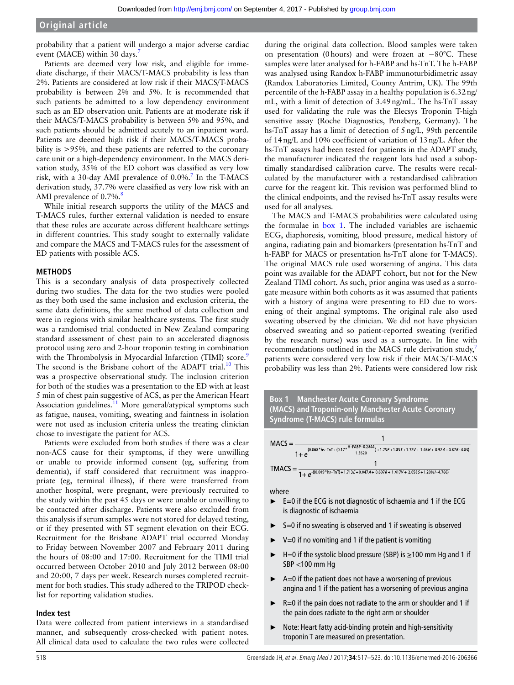# **Original article**

probability that a patient will undergo a major adverse cardiac event (MACE) within 30 days.<sup>[7](#page-6-3)</sup>

Patients are deemed very low risk, and eligible for immediate discharge, if their MACS/T-MACS probability is less than 2%. Patients are considered at low risk if their MACS/T-MACS probability is between 2% and 5%. It is recommended that such patients be admitted to a low dependency environment such as an ED observation unit. Patients are at moderate risk if their MACS/T-MACS probability is between 5% and 95%, and such patients should be admitted acutely to an inpatient ward. Patients are deemed high risk if their MACS/T-MACS probability is >95%, and these patients are referred to the coronary care unit or a high-dependency environment. In the MACS derivation study, 35% of the ED cohort was classified as very low risk, with a 30-day AMI prevalence of  $0.0\%$ .<sup>[7](#page-6-3)</sup> In the T-MACS derivation study, 37.7% were classified as very low risk with an AMI prevalence of 0.7%.<sup>[8](#page-6-4)</sup>

While initial research supports the utility of the MACS and T-MACS rules, further external validation is needed to ensure that these rules are accurate across different healthcare settings in different countries. This study sought to externally validate and compare the MACS and T-MACS rules for the assessment of ED patients with possible ACS.

#### **Methods**

This is a secondary analysis of data prospectively collected during two studies. The data for the two studies were pooled as they both used the same inclusion and exclusion criteria, the same data definitions, the same method of data collection and were in regions with similar healthcare systems. The first study was a randomised trial conducted in New Zealand comparing standard assessment of chest pain to an accelerated diagnosis protocol using zero and 2-hour troponin testing in combination with the Thrombolysis in Myocardial Infarction (TIMI) score.<sup>[9](#page-6-5)</sup> The second is the Brisbane cohort of the ADAPT trial.<sup>10</sup> This was a prospective observational study. The inclusion criterion for both of the studies was a presentation to the ED with at least 5 min of chest pain suggestive of ACS, as per the American Heart Association guidelines.<sup>11</sup> More general/atypical symptoms such as fatigue, nausea, vomiting, sweating and faintness in isolation were not used as inclusion criteria unless the treating clinician chose to investigate the patient for ACS.

Patients were excluded from both studies if there was a clear non-ACS cause for their symptoms, if they were unwilling or unable to provide informed consent (eg, suffering from dementia), if staff considered that recruitment was inappropriate (eg, terminal illness), if there were transferred from another hospital, were pregnant, were previously recruited to the study within the past 45 days or were unable or unwilling to be contacted after discharge. Patients were also excluded from this analysis if serum samples were not stored for delayed testing, or if they presented with ST segment elevation on their ECG. Recruitment for the Brisbane ADAPT trial occurred Monday to Friday between November 2007 and February 2011 during the hours of 08:00 and 17:00. Recruitment for the TIMI trial occurred between October 2010 and July 2012 between 08:00 and 20:00, 7 days per week. Research nurses completed recruitment for both studies. This study adhered to the TRIPOD checklist for reporting validation studies.

#### **Index test**

Data were collected from patient interviews in a standardised manner, and subsequently cross-checked with patient notes. All clinical data used to calculate the two rules were collected

during the original data collection. Blood samples were taken on presentation (0hours) and were frozen at −80°C. These samples were later analysed for h-FABP and hs-TnT. The h-FABP was analysed using Randox h-FABP immunoturbidimetric assay (Randox Laboratories Limited, County Antrim, UK). The 99th percentile of the h-FABP assay in a healthy population is 6.32ng/ mL, with a limit of detection of 3.49ng/mL. The hs-TnT assay used for validating the rule was the Elecsys Troponin T-high sensitive assay (Roche Diagnostics, Penzberg, Germany). The hs-TnT assay has a limit of detection of 5ng/L, 99th percentile of 14ng/L and 10% coefficient of variation of 13ng/L. After the hs-TnT assays had been tested for patients in the ADAPT study, the manufacturer indicated the reagent lots had used a suboptimally standardised calibration curve. The results were recalculated by the manufacturer with a restandardised calibration curve for the reagent kit. This revision was performed blind to the clinical endpoints, and the revised hs-TnT assay results were used for all analyses.

The MACS and T-MACS probabilities were calculated using the formulae in box 1. The included variables are ischaemic ECG, diaphoresis, vomiting, blood pressure, medical history of angina, radiating pain and biomarkers (presentation hs-TnT and h-FABP for MACS or presentation hs-TnT alone for T-MACS). The original MACS rule used worsening of angina. This data point was available for the ADAPT cohort, but not for the New Zealand TIMI cohort. As such, prior angina was used as a surrogate measure within both cohorts as it was assumed that patients with a history of angina were presenting to ED due to worsening of their anginal symptoms. The original rule also used sweating observed by the clinician. We did not have physician observed sweating and so patient-reported sweating (verified by the research nurse) was used as a surrogate. In line with recommendations outlined in the MACS rule derivation study, $^7$  $^7$ patients were considered very low risk if their MACS/T-MACS probability was less than 2%. Patients were considered low risk





- ► S=0 if no sweating is observed and 1 if sweating is observed
- ► V=0 if no vomiting and 1 if the patient is vomiting
- $ightharpoonright$  H=0 if the systolic blood pressure (SBP) is  $\geq$ 100 mm Hg and 1 if SBP <100 mm Hg
- ► A=0 if the patient does not have a worsening of previous angina and 1 if the patient has a worsening of previous angina
- ► R=0 if the pain does not radiate to the arm or shoulder and 1 if the pain does radiate to the right arm or shoulder
- ► Note: Heart fatty acid-binding protein and high-sensitivity troponin T are measured on presentation.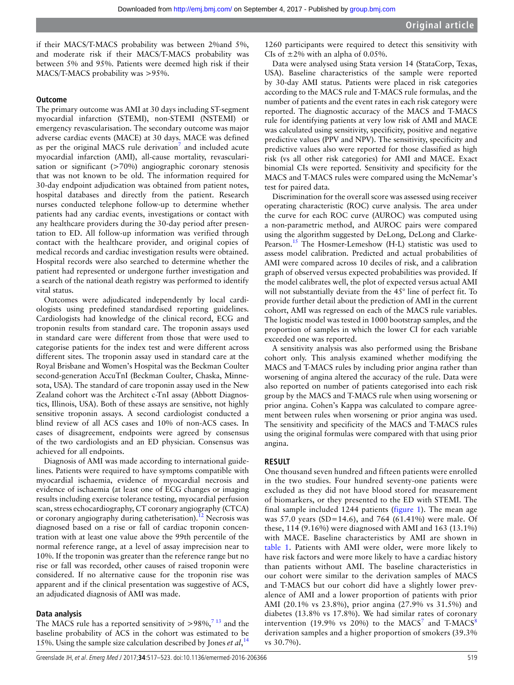if their MACS/T-MACS probability was between 2%and 5%, and moderate risk if their MACS/T-MACS probability was between 5% and 95%. Patients were deemed high risk if their MACS/T-MACS probability was >95%.

# **Outcome**

The primary outcome was AMI at 30 days including ST-segment myocardial infarction (STEMI), non-STEMI (NSTEMI) or emergency revascularisation. The secondary outcome was major adverse cardiac events (MACE) at 30 days. MACE was defined as per the original MACS rule derivation<sup>[7](#page-6-3)</sup> and included acute myocardial infarction (AMI), all-cause mortality, revascularisation or significant  $($ >70%) angiographic coronary stenosis that was not known to be old. The information required for 30-day endpoint adjudication was obtained from patient notes, hospital databases and directly from the patient. Research nurses conducted telephone follow-up to determine whether patients had any cardiac events, investigations or contact with any healthcare providers during the 30-day period after presentation to ED. All follow-up information was verified through contact with the healthcare provider, and original copies of medical records and cardiac investigation results were obtained. Hospital records were also searched to determine whether the patient had represented or undergone further investigation and a search of the national death registry was performed to identify vital status.

Outcomes were adjudicated independently by local cardiologists using predefined standardised reporting guidelines. Cardiologists had knowledge of the clinical record, ECG and troponin results from standard care. The troponin assays used in standard care were different from those that were used to categorise patients for the index test and were different across different sites. The troponin assay used in standard care at the Royal Brisbane and Women's Hospital was the Beckman Coulter second-generation AccuTnI (Beckman Coulter, Chaska, Minnesota, USA). The standard of care troponin assay used in the New Zealand cohort was the Architect c-TnI assay (Abbott Diagnostics, Illinois, USA). Both of these assays are sensitive, not highly sensitive troponin assays. A second cardiologist conducted a blind review of all ACS cases and 10% of non-ACS cases. In cases of disagreement, endpoints were agreed by consensus of the two cardiologists and an ED physician. Consensus was achieved for all endpoints.

Diagnosis of AMI was made according to international guidelines. Patients were required to have symptoms compatible with myocardial ischaemia, evidence of myocardial necrosis and evidence of ischaemia (at least one of ECG changes or imaging results including exercise tolerance testing, myocardial perfusion scan, stress echocardiography, CT coronary angiography (CTCA) or coronary angiography during catheterisation).<sup>[12](#page-6-8)</sup> Necrosis was diagnosed based on a rise or fall of cardiac troponin concentration with at least one value above the 99th percentile of the normal reference range, at a level of assay imprecision near to 10%. If the troponin was greater than the reference range but no rise or fall was recorded, other causes of raised troponin were considered. If no alternative cause for the troponin rise was apparent and if the clinical presentation was suggestive of ACS, an adjudicated diagnosis of AMI was made.

# **Data analysis**

The MACS rule has a reported sensitivity of  $> 98\%$ ,  $713$  and the baseline probability of ACS in the cohort was estimated to be 15%. Using the sample size calculation described by Jones *et al*, [14](#page-6-9)

1260 participants were required to detect this sensitivity with CIs of  $\pm 2\%$  with an alpha of 0.05%.

Data were analysed using Stata version 14 (StataCorp, Texas, USA). Baseline characteristics of the sample were reported by 30-day AMI status. Patients were placed in risk categories according to the MACS rule and T-MACS rule formulas, and the number of patients and the event rates in each risk category were reported. The diagnostic accuracy of the MACS and T-MACS rule for identifying patients at very low risk of AMI and MACE was calculated using sensitivity, specificity, positive and negative predictive values (PPV and NPV). The sensitivity, specificity and predictive values also were reported for those classified as high risk (vs all other risk categories) for AMI and MACE. Exact binomial CIs were reported. Sensitivity and specificity for the MACS and T-MACS rules were compared using the McNemar's test for paired data.

Discrimination for the overall score was assessed using receiver operating characteristic (ROC) curve analysis. The area under the curve for each ROC curve (AUROC) was computed using a non-parametric method, and AUROC pairs were compared using the algorithm suggested by DeLong, DeLong and Clarke-Pearson.<sup>15</sup> The Hosmer-Lemeshow (H-L) statistic was used to assess model calibration. Predicted and actual probabilities of AMI were compared across 10 deciles of risk, and a calibration graph of observed versus expected probabilities was provided. If the model calibrates well, the plot of expected versus actual AMI will not substantially deviate from the 45° line of perfect fit. To provide further detail about the prediction of AMI in the current cohort, AMI was regressed on each of the MACS rule variables. The logistic model was tested in 1000 bootstrap samples, and the proportion of samples in which the lower CI for each variable exceeded one was reported.

A sensitivity analysis was also performed using the Brisbane cohort only. This analysis examined whether modifying the MACS and T-MACS rules by including prior angina rather than worsening of angina altered the accuracy of the rule. Data were also reported on number of patients categorised into each risk group by the MACS and T-MACS rule when using worsening or prior angina. Cohen's Kappa was calculated to compare agreement between rules when worsening or prior angina was used. The sensitivity and specificity of the MACS and T-MACS rules using the original formulas were compared with that using prior angina.

# **Result**

One thousand seven hundred and fifteen patients were enrolled in the two studies. Four hundred seventy-one patients were excluded as they did not have blood stored for measurement of biomarkers, or they presented to the ED with STEMI. The final sample included 1244 patients [\(figure](#page-3-0) 1). The mean age was 57.0 years (SD=14.6), and 764 (61.41%) were male. Of these, 114 (9.16%) were diagnosed with AMI and 163 (13.1%) with MACE. Baseline characteristics by AMI are shown in [table](#page-3-1) 1. Patients with AMI were older, were more likely to have risk factors and were more likely to have a cardiac history than patients without AMI. The baseline characteristics in our cohort were similar to the derivation samples of MACS and T-MACS but our cohort did have a slightly lower prevalence of AMI and a lower proportion of patients with prior AMI (20.1% vs 23.8%), prior angina (27.9% vs 31.5%) and diabetes (13.8% vs 17.8%). We had similar rates of coronary intervention (19.9% vs 20%) to the MACS<sup>[7](#page-6-3)</sup> and T-MACS<sup>[8](#page-6-4)</sup> derivation samples and a higher proportion of smokers (39.3% vs 30.7%).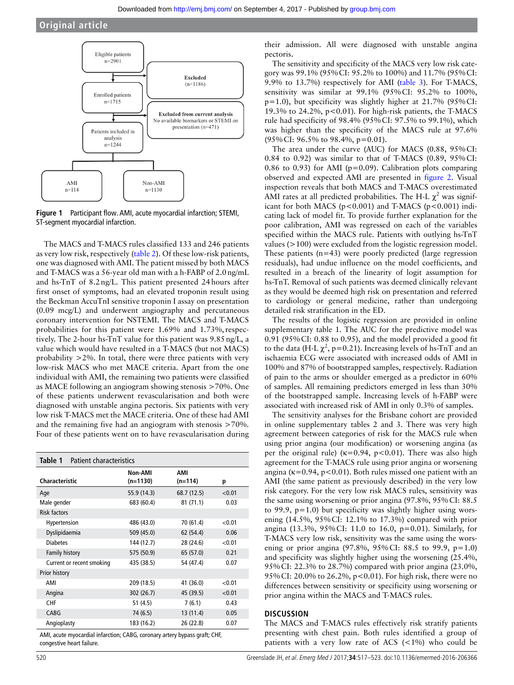

<span id="page-3-0"></span>**Figure 1** Participant flow. AMI, acute myocardial infarction; STEMI, ST-segment myocardial infarction.

The MACS and T-MACS rules classified 133 and 246 patients as very low risk, respectively [\(table](#page-4-0) 2). Of these low-risk patients, one was diagnosed with AMI. The patient missed by both MACS and T-MACS was a 56-year old man with a h-FABP of 2.0ng/mL and hs-TnT of 8.2ng/L. This patient presented 24hours after first onset of symptoms, had an elevated troponin result using the Beckman AccuTnI sensitive troponin I assay on presentation (0.09 mcg/L) and underwent angiography and percutaneous coronary intervention for NSTEMI. The MACS and T-MACS probabilities for this patient were 1.69% and 1.73%, respectively. The 2-hour hs-TnT value for this patient was 9.85ng/L, a value which would have resulted in a T-MACS (but not MACS) probability >2%. In total, there were three patients with very low-risk MACS who met MACE criteria. Apart from the one individual with AMI, the remaining two patients were classified as MACE following an angiogram showing stenosis >70%. One of these patients underwent revascularisation and both were diagnosed with unstable angina pectoris. Six patients with very low risk T-MACS met the MACE criteria. One of these had AMI and the remaining five had an angiogram with stenosis >70%. Four of these patients went on to have revascularisation during

<span id="page-3-1"></span>

| Patient characteristics<br>Table 1 |                       |                  |        |
|------------------------------------|-----------------------|------------------|--------|
| <b>Characteristic</b>              | Non-AMI<br>$(n=1130)$ | AMI<br>$(n=114)$ | p      |
| Age                                | 55.9 (14.3)           | 68.7 (12.5)      | < 0.01 |
| Male gender                        | 683 (60.4)            | 81(71.1)         | 0.03   |
| <b>Risk factors</b>                |                       |                  |        |
| Hypertension                       | 486 (43.0)            | 70 (61.4)        | < 0.01 |
| Dyslipidaemia                      | 509 (45.0)            | 62 (54.4)        | 0.06   |
| <b>Diabetes</b>                    | 144 (12.7)            | 28 (24.6)        | < 0.01 |
| <b>Family history</b>              | 575 (50.9)            | 65 (57.0)        | 0.21   |
| Current or recent smoking          | 435 (38.5)            | 54 (47.4)        | 0.07   |
| Prior history                      |                       |                  |        |
| AMI                                | 209 (18.5)            | 41 (36.0)        | < 0.01 |
| Angina                             | 302 (26.7)            | 45 (39.5)        | < 0.01 |
| CHF                                | 51(4.5)               | 7(6.1)           | 0.43   |
| CABG                               | 74 (6.5)              | 13 (11.4)        | 0.05   |
| Angioplasty                        | 183 (16.2)            | 26 (22.8)        | 0.07   |

AMI, acute myocardial infarction; CABG, coronary artery bypass graft; CHF, congestive heart failure.

their admission. All were diagnosed with unstable angina pectoris.

The sensitivity and specificity of the MACS very low risk category was 99.1% (95%CI: 95.2% to 100%) and 11.7% (95%CI: 9.9% to 13.7%) respectively for AMI [\(table](#page-4-1) 3). For T-MACS, sensitivity was similar at 99.1% (95%CI: 95.2% to 100%,  $p=1.0$ ), but specificity was slightly higher at 21.7% (95% CI: 19.3% to 24.2%,  $p<0.01$ ). For high-risk patients, the T-MACS rule had specificity of 98.4% (95%CI: 97.5% to 99.1%), which was higher than the specificity of the MACS rule at 97.6% (95%CI: 96.5% to 98.4%, p=0.01).

The area under the curve (AUC) for MACS (0.88, 95%CI: 0.84 to 0.92) was similar to that of T-MACS (0.89, 95%CI: 0.86 to 0.93) for AMI ( $p=0.09$ ). Calibration plots comparing observed and expected AMI are presented in [figure](#page-5-0) 2. Visual inspection reveals that both MACS and T-MACS overestimated AMI rates at all predicted probabilities. The H-L  $\chi^2$  was significant for both MACS ( $p < 0.001$ ) and T-MACS ( $p < 0.001$ ) indicating lack of model fit. To provide further explanation for the poor calibration, AMI was regressed on each of the variables specified within the MACS rule. Patients with outlying hs-TnT values (>100) were excluded from the logistic regression model. These patients  $(n=43)$  were poorly predicted (large regression residuals), had undue influence on the model coefficients, and resulted in a breach of the linearity of logit assumption for hs-TnT. Removal of such patients was deemed clinically relevant as they would be deemed high risk on presentation and referred to cardiology or general medicine, rather than undergoing detailed risk stratification in the ED.

The results of the logistic regression are provided in online [supplementary table 1.](https://dx.doi.org/10.1136/emermed-2016-206366) The AUC for the predictive model was 0.91 (95%CI: 0.88 to 0.95), and the model provided a good fit to the data (H-L  $\chi^2$ , p=0.21). Increasing levels of hs-TnT and an ischaemia ECG were associated with increased odds of AMI in 100% and 87% of bootstrapped samples, respectively. Radiation of pain to the arms or shoulder emerged as a predictor in 60% of samples. All remaining predictors emerged in less than 30% of the bootstrapped sample. Increasing levels of h-FABP were associated with increased risk of AMI in only 0.3% of samples.

The sensitivity analyses for the Brisbane cohort are provided in online [supplementary tables 2 and 3.](https://dx.doi.org/10.1136/emermed-2016-206366) There was very high agreement between categories of risk for the MACS rule when using prior angina (our modification) or worsening angina (as per the original rule) ( $\kappa$ =0.94, p<0.01). There was also high agreement for the T-MACS rule using prior angina or worsening angina ( $\kappa$ =0.94, p<0.01). Both rules missed one patient with an AMI (the same patient as previously described) in the very low risk category. For the very low risk MACS rules, sensitivity was the same using worsening or prior angina (97.8%, 95%CI: 88.5 to 99.9, p=1.0) but specificity was slightly higher using worsening (14.5%, 95%CI: 12.1% to 17.3%) compared with prior angina (13.3%, 95%CI: 11.0 to 16.0, p=0.01). Similarly, for T-MACS very low risk, sensitivity was the same using the worsening or prior angina  $(97.8\%, 95\%$  CI: 88.5 to 99.9, p=1.0) and specificity was slightly higher using the worsening (25.4%, 95%CI: 22.3% to 28.7%) compared with prior angina (23.0%, 95%CI: 20.0% to 26.2%, p<0.01). For high risk, there were no differences between sensitivity or specificity using worsening or prior angina within the MACS and T-MACS rules.

# **Discussion**

The MACS and T-MACS rules effectively risk stratify patients presenting with chest pain. Both rules identified a group of patients with a very low rate of ACS (<1%) who could be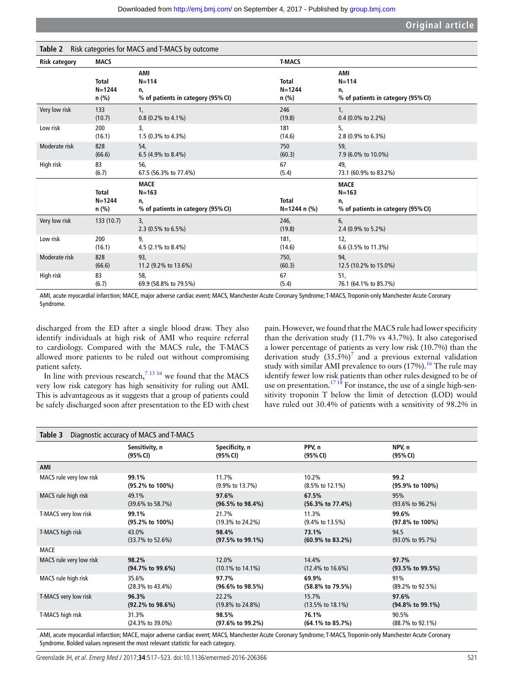<span id="page-4-0"></span>

| Risk categories for MACS and T-MACS by outcome<br>Table 2 |                                     |                                                                      |                                     |                                                                      |  |
|-----------------------------------------------------------|-------------------------------------|----------------------------------------------------------------------|-------------------------------------|----------------------------------------------------------------------|--|
| <b>Risk category</b>                                      | <b>MACS</b>                         |                                                                      | <b>T-MACS</b>                       |                                                                      |  |
|                                                           | <b>Total</b><br>$N = 1244$<br>n (%) | AMI<br>$N = 114$<br>n,<br>% of patients in category (95% CI)         | Total<br>$N = 1244$<br>n (%)        | AMI<br>$N = 114$<br>n,<br>% of patients in category (95% CI)         |  |
| Very low risk                                             | 133                                 | 1,                                                                   | 246                                 | 1,                                                                   |  |
|                                                           | (10.7)                              | 0.8 (0.2% to 4.1%)                                                   | (19.8)                              | $0.4$ (0.0% to 2.2%)                                                 |  |
| Low risk                                                  | 200                                 | 3,                                                                   | 181                                 | 5,                                                                   |  |
|                                                           | (16.1)                              | 1.5 (0.3% to 4.3%)                                                   | (14.6)                              | 2.8 (0.9% to 6.3%)                                                   |  |
| Moderate risk                                             | 828                                 | 54,                                                                  | 750                                 | 59,                                                                  |  |
|                                                           | (66.6)                              | 6.5 (4.9% to 8.4%)                                                   | (60.3)                              | 7.9 (6.0% to 10.0%)                                                  |  |
| High risk                                                 | 83                                  | 56,                                                                  | 67                                  | 49,                                                                  |  |
|                                                           | (6.7)                               | 67.5 (56.3% to 77.4%)                                                | (5.4)                               | 73.1 (60.9% to 83.2%)                                                |  |
|                                                           | <b>Total</b><br>$N = 1244$<br>n (%) | <b>MACE</b><br>$N = 163$<br>n,<br>% of patients in category (95% CI) | <b>Total</b><br>$N = 1244$ n $(\%)$ | <b>MACE</b><br>$N = 163$<br>n,<br>% of patients in category (95% CI) |  |
| Very low risk                                             | 133(10.7)                           | 3,<br>2.3 (0.5% to 6.5%)                                             | 246,<br>(19.8)                      | 6,<br>2.4 (0.9% to 5.2%)                                             |  |
| Low risk                                                  | 200                                 | 9,                                                                   | 181,                                | 12,                                                                  |  |
|                                                           | (16.1)                              | 4.5 (2.1% to 8.4%)                                                   | (14.6)                              | 6.6 (3.5% to 11.3%)                                                  |  |
| Moderate risk                                             | 828                                 | 93,                                                                  | 750,                                | 94,                                                                  |  |
|                                                           | (66.6)                              | 11.2 (9.2% to 13.6%)                                                 | (60.3)                              | 12.5 (10.2% to 15.0%)                                                |  |
| High risk                                                 | 83                                  | 58,                                                                  | 67                                  | 51,                                                                  |  |
|                                                           | (6.7)                               | 69.9 (58.8% to 79.5%)                                                | (5.4)                               | 76.1 (64.1% to 85.7%)                                                |  |

AMI, acute myocardial infarction; MACE, major adverse cardiac event; MACS, Manchester Acute Coronary Syndrome; T-MACS, Troponin-only Manchester Acute Coronary Syndrome.

discharged from the ED after a single blood draw. They also identify individuals at high risk of AMI who require referral to cardiology. Compared with the MACS rule, the T-MACS allowed more patients to be ruled out without compromising patient safety.

In line with previous research,<sup>7</sup><sup>13 16</sup> we found that the MACS very low risk category has high sensitivity for ruling out AMI. This is advantageous as it suggests that a group of patients could be safely discharged soon after presentation to the ED with chest

pain. However, we found that the MACS rule had lower specificity than the derivation study (11.7% vs 43.7%). It also categorised a lower percentage of patients as very low risk (10.7%) than the derivation study  $(35.5\%)^7$  $(35.5\%)^7$  and a previous external validation study with similar AMI prevalence to ours  $(17%)$ .<sup>16</sup> The rule may identify fewer low risk patients than other rules designed to be of use on presentation.<sup>[17 18](#page-6-12)</sup> For instance, the use of a single high-sensitivity troponin T below the limit of detection (LOD) would have ruled out 30.4% of patients with a sensitivity of 98.2% in

<span id="page-4-1"></span>

| Diagnostic accuracy of MACS and T-MACS<br>Table 3 |                               |                               |                               |                               |
|---------------------------------------------------|-------------------------------|-------------------------------|-------------------------------|-------------------------------|
|                                                   | Sensitivity, n                | Specificity, n                | PPV, n                        | NPV, n                        |
|                                                   | (95% CI)                      | (95% CI)                      | (95% CI)                      | (95% CI)                      |
| AMI                                               |                               |                               |                               |                               |
| MACS rule very low risk                           | 99.1%                         | 11.7%                         | 10.2%                         | 99.2                          |
|                                                   | (95.2% to 100%)               | $(9.9\% \text{ to } 13.7\%)$  | $(8.5\% \text{ to } 12.1\%)$  | (95.9% to 100%)               |
| MACS rule high risk                               | 49.1%                         | 97.6%                         | 67.5%                         | 95%                           |
|                                                   | $(39.6\% \text{ to } 58.7\%)$ | $(96.5\% \text{ to } 98.4\%)$ | $(56.3\% \text{ to } 77.4\%)$ | $(93.6\% \text{ to } 96.2\%)$ |
| T-MACS very low risk                              | 99.1%                         | 21.7%                         | 11.3%                         | 99.6%                         |
|                                                   | (95.2% to 100%)               | $(19.3\% \text{ to } 24.2\%)$ | $(9.4\% \text{ to } 13.5\%)$  | (97.8% to 100%)               |
| T-MACS high risk                                  | 43.0%                         | 98.4%                         | 73.1%                         | 94.5                          |
|                                                   | $(33.7\% \text{ to } 52.6\%)$ | $(97.5\% \text{ to } 99.1\%)$ | $(60.9\% \text{ to } 83.2\%)$ | $(93.0\% \text{ to } 95.7\%)$ |
| <b>MACE</b>                                       |                               |                               |                               |                               |
| MACS rule very low risk                           | 98.2%                         | 12.0%                         | 14.4%                         | 97.7%                         |
|                                                   | $(94.7\% \text{ to } 99.6\%)$ | $(10.1\% \text{ to } 14.1\%)$ | $(12.4\% \text{ to } 16.6\%)$ | $(93.5\% \text{ to } 99.5\%)$ |
| MACS rule high risk                               | 35.6%                         | 97.7%                         | 69.9%                         | 91%                           |
|                                                   | $(28.3\% \text{ to } 43.4\%)$ | $(96.6\% \text{ to } 98.5\%)$ | (58.8% to 79.5%)              | $(89.2\% \text{ to } 92.5\%)$ |
| T-MACS very low risk                              | 96.3%                         | 22.2%                         | 15.7%                         | 97.6%                         |
|                                                   | $(92.2\% \text{ to } 98.6\%)$ | $(19.8\% \text{ to } 24.8\%)$ | $(13.5\% \text{ to } 18.1\%)$ | (94.8% to 99.1%)              |
| T-MACS high risk                                  | 31.3%                         | 98.5%                         | 76.1%                         | 90.5%                         |
|                                                   | $(24.3\% \text{ to } 39.0\%)$ | (97.6% to 99.2%)              | $(64.1\% \text{ to } 85.7\%)$ | (88.7% to 92.1%)              |

AMI, acute myocardial infarction; MACE, major adverse cardiac event; MACS, Manchester Acute Coronary Syndrome; T-MACS, Troponin-only Manchester Acute Coronary Syndrome. Bolded values represent the most relevant statistic for each category.

Greenslade JH, et al. Emerg Med J 2017;34:517-523. doi:10.1136/emermed-2016-206366 521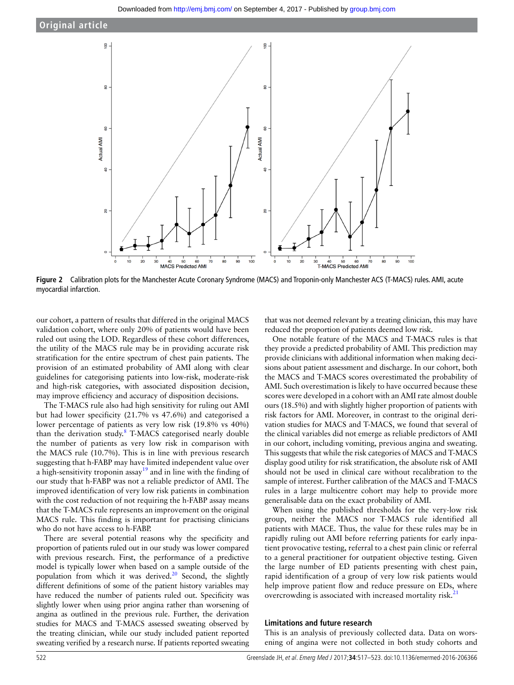

**Figure 2** Calibration plots for the Manchester Acute Coronary Syndrome (MACS) and Troponin-only Manchester ACS (T-MACS) rules. AMI, acute myocardial infarction.

our cohort, a pattern of results that differed in the original MACS validation cohort, where only 20% of patients would have been ruled out using the LOD. Regardless of these cohort differences, the utility of the MACS rule may be in providing accurate risk stratification for the entire spectrum of chest pain patients. The provision of an estimated probability of AMI along with clear guidelines for categorising patients into low-risk, moderate-risk and high-risk categories, with associated disposition decision, may improve efficiency and accuracy of disposition decisions.

The T-MACS rule also had high sensitivity for ruling out AMI but had lower specificity (21.7% vs 47.6%) and categorised a lower percentage of patients as very low risk (19.8% vs 40%) than the derivation study.<sup>[8](#page-6-4)</sup> T-MACS categorised nearly double the number of patients as very low risk in comparison with the MACS rule (10.7%). This is in line with previous research suggesting that h-FABP may have limited independent value over a high-sensitivity troponin assay<sup>19</sup> and in line with the finding of our study that h-FABP was not a reliable predictor of AMI. The improved identification of very low risk patients in combination with the cost reduction of not requiring the h-FABP assay means that the T-MACS rule represents an improvement on the original MACS rule. This finding is important for practising clinicians who do not have access to h-FABP.

There are several potential reasons why the specificity and proportion of patients ruled out in our study was lower compared with previous research. First, the performance of a predictive model is typically lower when based on a sample outside of the population from which it was derived. $20$  Second, the slightly different definitions of some of the patient history variables may have reduced the number of patients ruled out. Specificity was slightly lower when using prior angina rather than worsening of angina as outlined in the previous rule. Further, the derivation studies for MACS and T-MACS assessed sweating observed by the treating clinician, while our study included patient reported sweating verified by a research nurse. If patients reported sweating

<span id="page-5-0"></span>that was not deemed relevant by a treating clinician, this may have reduced the proportion of patients deemed low risk.

One notable feature of the MACS and T-MACS rules is that they provide a predicted probability of AMI. This prediction may provide clinicians with additional information when making decisions about patient assessment and discharge. In our cohort, both the MACS and T-MACS scores overestimated the probability of AMI. Such overestimation is likely to have occurred because these scores were developed in a cohort with an AMI rate almost double ours (18.5%) and with slightly higher proportion of patients with risk factors for AMI. Moreover, in contrast to the original derivation studies for MACS and T-MACS, we found that several of the clinical variables did not emerge as reliable predictors of AMI in our cohort, including vomiting, previous angina and sweating. This suggests that while the risk categories of MACS and T-MACS display good utility for risk stratification, the absolute risk of AMI should not be used in clinical care without recalibration to the sample of interest. Further calibration of the MACS and T-MACS rules in a large multicentre cohort may help to provide more generalisable data on the exact probability of AMI.

When using the published thresholds for the very-low risk group, neither the MACS nor T-MACS rule identified all patients with MACE. Thus, the value for these rules may be in rapidly ruling out AMI before referring patients for early inpatient provocative testing, referral to a chest pain clinic or referral to a general practitioner for outpatient objective testing. Given the large number of ED patients presenting with chest pain, rapid identification of a group of very low risk patients would help improve patient flow and reduce pressure on EDs, where overcrowding is associated with increased mortality risk.<sup>21</sup>

# **Limitations and future research**

This is an analysis of previously collected data. Data on worsening of angina were not collected in both study cohorts and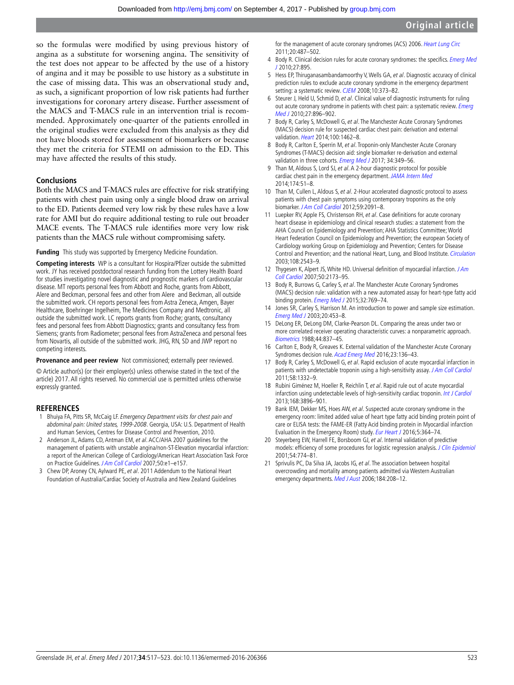so the formulas were modified by using previous history of angina as a substitute for worsening angina. The sensitivity of the test does not appear to be affected by the use of a history of angina and it may be possible to use history as a substitute in the case of missing data. This was an observational study and, as such, a significant proportion of low risk patients had further investigations for coronary artery disease. Further assessment of the MACS and T-MACS rule in an intervention trial is recommended. Approximately one-quarter of the patients enrolled in the original studies were excluded from this analysis as they did not have bloods stored for assessment of biomarkers or because they met the criteria for STEMI on admission to the ED. This may have affected the results of this study.

# **Conclusions**

Both the MACS and T-MACS rules are effective for risk stratifying patients with chest pain using only a single blood draw on arrival to the ED. Patients deemed very low risk by these rules have a low rate for AMI but do require additional testing to rule out broader MACE events. The T-MACS rule identifies more very low risk patients than the MACS rule without compromising safety.

#### **Funding** This study was supported by Emergency Medicine Foundation.

**Competing interests** WP is a consultant for Hospira/Pfizer outside the submitted work. JY has received postdoctoral research funding from the Lottery Health Board for studies investigating novel diagnostic and prognostic markers of cardiovascular disease. MT reports personal fees from Abbott and Roche, grants from Abbott, Alere and Beckman, personal fees and other from Alere and Beckman, all outside the submitted work. CH reports personal fees from Astra Zeneca, Amgen, Bayer Healthcare, Boehringer Ingelheim, The Medicines Company and Medtronic, all outside the submitted work. LC reports grants from Roche; grants, consultancy fees and personal fees from Abbott Diagnostics; grants and consultancy fess from Siemens; grants from Radiometer; personal fees from AstraZeneca and personal fees from Novartis, all outside of the submitted work. JHG, RN, SD and JWP report no competing interests.

#### **Provenance and peer review** Not commissioned; externally peer reviewed.

© Article author(s) (or their employer(s) unless otherwise stated in the text of the article) 2017. All rights reserved. No commercial use is permitted unless otherwise expressly granted.

# **References**

- <span id="page-6-0"></span>Bhuiya FA, Pitts SR, McCaig LF. Emergency Department visits for chest pain and abdominal pain: United states, 1999-2008. Georgia, USA: U.S. Department of Health and Human Services, Centres for Disease Control and Prevention, 2010.
- <span id="page-6-1"></span>2 Anderson JL, Adams CD, Antman EM, et al. ACC/AHA 2007 guidelines for the management of patients with unstable angina/non-ST-Elevation myocardial infarction: a report of the American College of Cardiology/American Heart Association Task Force on Practice Guidelines. J Am Coll Cardiol 2007;50:e1–e157.
- 3 Chew DP, Aroney CN, Aylward PE, et al. 2011 Addendum to the National Heart Foundation of Australia/Cardiac Society of Australia and New Zealand Guidelines

for the management of acute coronary syndromes (ACS) 2006. Heart Lung Circ 2011;20:487–502.

- <span id="page-6-2"></span>4 Body R. Clinical decision rules for acute coronary syndromes: the specifics. Emerg Med  $12010:27:895$
- 5 Hess EP, Thiruganasambandamoorthy V, Wells GA, et al. Diagnostic accuracy of clinical prediction rules to exclude acute coronary syndrome in the emergency department setting: a systematic review. CIFM 2008:10:373-82.
- 6 Steurer J, Held U, Schmid D, et al. Clinical value of diagnostic instruments for ruling out acute coronary syndrome in patients with chest pain: a systematic review. Emerg [Med J](http://dx.doi.org/10.1136/emj.2010.092619) 2010;27:896–902.
- <span id="page-6-3"></span>7 Body R, Carley S, McDowell G, et al. The Manchester Acute Coronary Syndromes (MACS) decision rule for suspected cardiac chest pain: derivation and external validation. [Heart](http://dx.doi.org/10.1136/heartjnl-2014-305564) 2014;100:1462–8.
- <span id="page-6-4"></span>8 Body R, Carlton E, Sperrin M, et al. Troponin-only Manchester Acute Coronary Syndromes (T-MACS) decision aid: single biomarker re-derivation and external validation in three cohorts. [Emerg Med J](http://dx.doi.org/10.1136/emermed-2016-205983) 2017; 34:349-56.
- <span id="page-6-5"></span>9 Than M, Aldous S, Lord SJ, et al. A 2-hour diagnostic protocol for possible cardiac chest pain in the emergency department. [JAMA Intern Med](http://dx.doi.org/10.1001/jamainternmed.2013.11362) 2014;174:51–8.
- <span id="page-6-6"></span>10 Than M, Cullen L, Aldous S, et al. 2-Hour accelerated diagnostic protocol to assess patients with chest pain symptoms using contemporary troponins as the only biomarker. [J Am Coll Cardiol](http://dx.doi.org/10.1016/j.jacc.2012.02.035) 2012;59:2091-8.
- <span id="page-6-7"></span>11 Luepker RV, Apple FS, Christenson RH, et al. Case definitions for acute coronary heart disease in epidemiology and clinical research studies: a statement from the AHA Council on Epidemiology and Prevention; AHA Statistics Committee; World Heart Federation Council on Epidemiology and Prevention; the european Society of Cardiology working Group on Epidemiology and Prevention; Centers for Disease Control and Prevention; and the national Heart, Lung, and Blood Institute. [Circulation](http://dx.doi.org/10.1161/01.CIR.0000100560.46946.EA) 2003;108:2543–9.
- <span id="page-6-8"></span>12 Thygesen K, Alpert JS, White HD. Universal definition of myocardial infarction. J Am [Coll Cardiol](http://dx.doi.org/10.1016/j.jacc.2007.09.011) 2007;50:2173–95.
- 13 Body R, Burrows G, Carley S, et al. The Manchester Acute Coronary Syndromes (MACS) decision rule: validation with a new automated assay for heart-type fatty acid binding protein. [Emerg Med J](http://dx.doi.org/10.1136/emermed-2014-204235) 2015;32:769-74.
- <span id="page-6-9"></span>14 Jones SR, Carley S, Harrison M. An introduction to power and sample size estimation. [Emerg Med J](http://dx.doi.org/10.1136/emj.20.5.453) 2003;20:453–8.
- <span id="page-6-10"></span>15 DeLong ER, DeLong DM, Clarke-Pearson DL. Comparing the areas under two or more correlated receiver operating characteristic curves: a nonparametric approach. [Biometrics](http://dx.doi.org/10.2307/2531595) 1988;44:837–45.
- <span id="page-6-11"></span>16 Carlton E, Body R, Greaves K. External validation of the Manchester Acute Coronary Syndromes decision rule. [Acad Emerg Med](http://dx.doi.org/10.1111/acem.12860) 2016;23:136-43.
- <span id="page-6-12"></span>17 Body R, Carley S, McDowell G, et al. Rapid exclusion of acute myocardial infarction in patients with undetectable troponin using a high-sensitivity assay. [J Am Coll Cardiol](http://dx.doi.org/10.1016/j.jacc.2011.06.026) 2011;58:1332–9.
- 18 Rubini Giménez M, Hoeller R, Reichlin T, et al. Rapid rule out of acute myocardial infarction using undetectable levels of high-sensitivity cardiac troponin. [Int J Cardiol](http://dx.doi.org/10.1016/j.ijcard.2013.06.049) 2013;168:3896–901.
- <span id="page-6-13"></span>19 Bank IEM, Dekker MS, Hoes AW, et al. Suspected acute coronary syndrome in the emergency room: limited added value of heart type fatty acid binding protein point of care or ELISA tests: the FAME-ER (Fatty Acid binding protein in Myocardial infarction Evaluation in the Emergency Room) study. [Eur Heart J](http://dx.doi.org/10.1177/2048872615584077) 2016;5:364-74.
- <span id="page-6-14"></span>20 Steyerberg EW, Harrell FE, Borsboom GJ, et al. Internal validation of predictive models: efficiency of some procedures for logistic regression analysis. J Clin Epidemiol 2001;54:774–81.
- <span id="page-6-15"></span>21 Sprivulis PC, Da Silva JA, Jacobs IG, et al. The association between hospital overcrowding and mortality among patients admitted via Western Australian emergency departments. Med J Aust 2006;184:208-12.